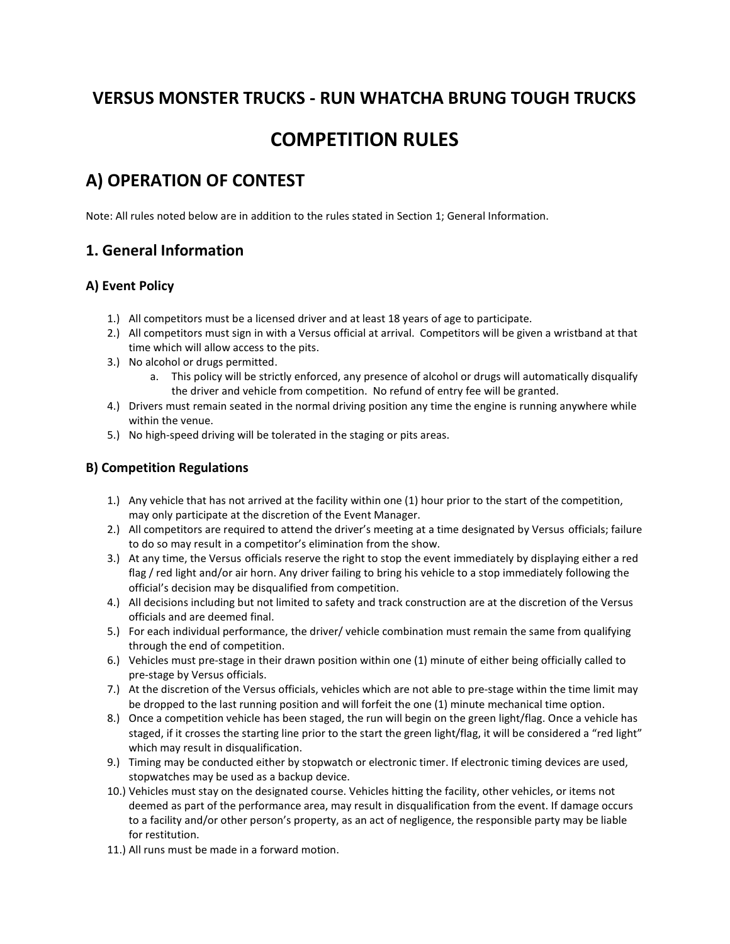## VERSUS MONSTER TRUCKS - RUN WHATCHA BRUNG TOUGH TRUCKS

# COMPETITION RULES

# A) OPERATION OF CONTEST

Note: All rules noted below are in addition to the rules stated in Section 1; General Information.

### 1. General Information

### A) Event Policy

- 1.) All competitors must be a licensed driver and at least 18 years of age to participate.
- 2.) All competitors must sign in with a Versus official at arrival. Competitors will be given a wristband at that time which will allow access to the pits.
- 3.) No alcohol or drugs permitted.
	- a. This policy will be strictly enforced, any presence of alcohol or drugs will automatically disqualify the driver and vehicle from competition. No refund of entry fee will be granted.
- 4.) Drivers must remain seated in the normal driving position any time the engine is running anywhere while within the venue.
- 5.) No high-speed driving will be tolerated in the staging or pits areas.

### B) Competition Regulations

- 1.) Any vehicle that has not arrived at the facility within one (1) hour prior to the start of the competition, may only participate at the discretion of the Event Manager.
- 2.) All competitors are required to attend the driver's meeting at a time designated by Versus officials; failure to do so may result in a competitor's elimination from the show.
- 3.) At any time, the Versus officials reserve the right to stop the event immediately by displaying either a red flag / red light and/or air horn. Any driver failing to bring his vehicle to a stop immediately following the official's decision may be disqualified from competition.
- 4.) All decisions including but not limited to safety and track construction are at the discretion of the Versus officials and are deemed final.
- 5.) For each individual performance, the driver/ vehicle combination must remain the same from qualifying through the end of competition.
- 6.) Vehicles must pre-stage in their drawn position within one (1) minute of either being officially called to pre-stage by Versus officials.
- 7.) At the discretion of the Versus officials, vehicles which are not able to pre-stage within the time limit may be dropped to the last running position and will forfeit the one (1) minute mechanical time option.
- 8.) Once a competition vehicle has been staged, the run will begin on the green light/flag. Once a vehicle has staged, if it crosses the starting line prior to the start the green light/flag, it will be considered a "red light" which may result in disqualification.
- 9.) Timing may be conducted either by stopwatch or electronic timer. If electronic timing devices are used, stopwatches may be used as a backup device.
- 10.) Vehicles must stay on the designated course. Vehicles hitting the facility, other vehicles, or items not deemed as part of the performance area, may result in disqualification from the event. If damage occurs to a facility and/or other person's property, as an act of negligence, the responsible party may be liable for restitution.
- 11.) All runs must be made in a forward motion.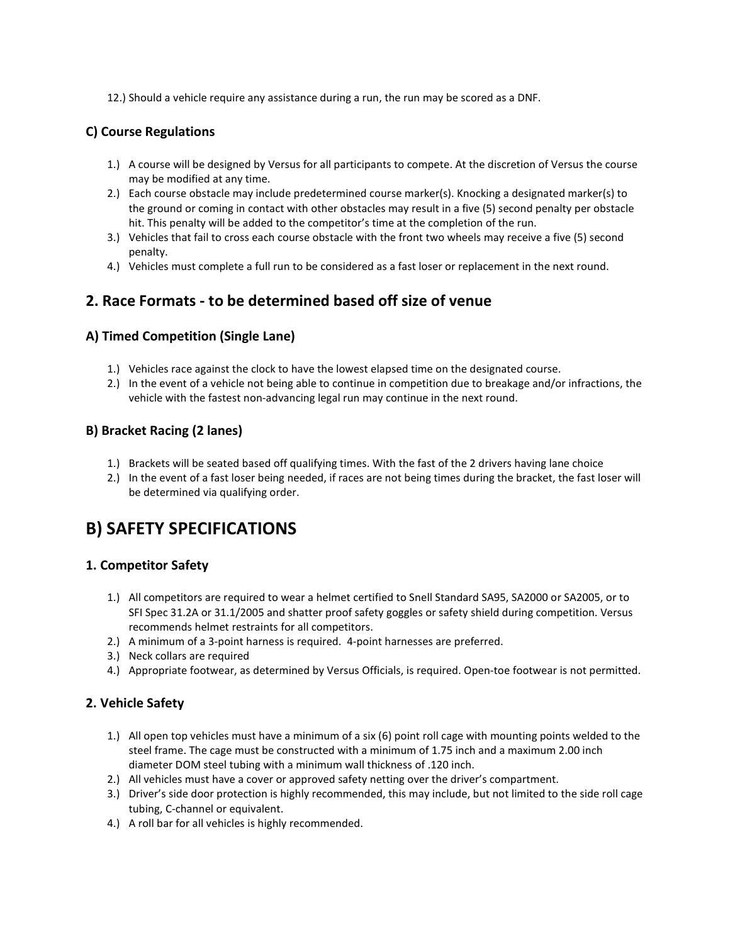12.) Should a vehicle require any assistance during a run, the run may be scored as a DNF.

### C) Course Regulations

- 1.) A course will be designed by Versus for all participants to compete. At the discretion of Versus the course may be modified at any time.
- 2.) Each course obstacle may include predetermined course marker(s). Knocking a designated marker(s) to the ground or coming in contact with other obstacles may result in a five (5) second penalty per obstacle hit. This penalty will be added to the competitor's time at the completion of the run.
- 3.) Vehicles that fail to cross each course obstacle with the front two wheels may receive a five (5) second penalty.
- 4.) Vehicles must complete a full run to be considered as a fast loser or replacement in the next round.

### 2. Race Formats - to be determined based off size of venue

### A) Timed Competition (Single Lane)

- 1.) Vehicles race against the clock to have the lowest elapsed time on the designated course.
- 2.) In the event of a vehicle not being able to continue in competition due to breakage and/or infractions, the vehicle with the fastest non-advancing legal run may continue in the next round.

### B) Bracket Racing (2 lanes)

- 1.) Brackets will be seated based off qualifying times. With the fast of the 2 drivers having lane choice
- 2.) In the event of a fast loser being needed, if races are not being times during the bracket, the fast loser will be determined via qualifying order.

## B) SAFETY SPECIFICATIONS

#### 1. Competitor Safety

- 1.) All competitors are required to wear a helmet certified to Snell Standard SA95, SA2000 or SA2005, or to SFI Spec 31.2A or 31.1/2005 and shatter proof safety goggles or safety shield during competition. Versus recommends helmet restraints for all competitors.
- 2.) A minimum of a 3-point harness is required. 4-point harnesses are preferred.
- 3.) Neck collars are required
- 4.) Appropriate footwear, as determined by Versus Officials, is required. Open-toe footwear is not permitted.

### 2. Vehicle Safety

- 1.) All open top vehicles must have a minimum of a six (6) point roll cage with mounting points welded to the steel frame. The cage must be constructed with a minimum of 1.75 inch and a maximum 2.00 inch diameter DOM steel tubing with a minimum wall thickness of .120 inch.
- 2.) All vehicles must have a cover or approved safety netting over the driver's compartment.
- 3.) Driver's side door protection is highly recommended, this may include, but not limited to the side roll cage tubing, C-channel or equivalent.
- 4.) A roll bar for all vehicles is highly recommended.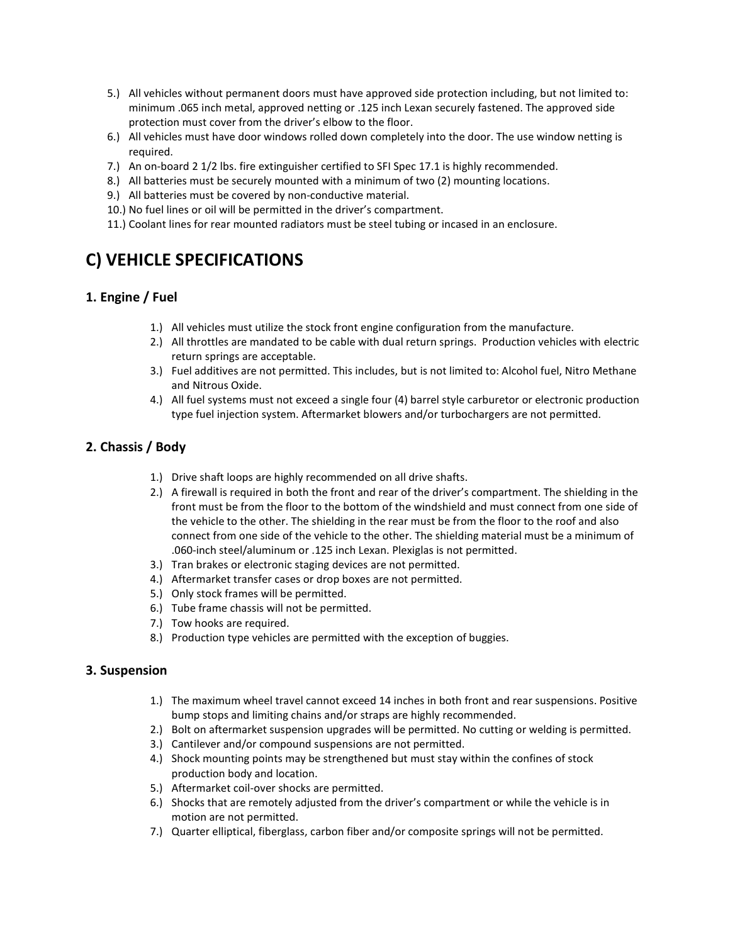- 5.) All vehicles without permanent doors must have approved side protection including, but not limited to: minimum .065 inch metal, approved netting or .125 inch Lexan securely fastened. The approved side protection must cover from the driver's elbow to the floor.
- 6.) All vehicles must have door windows rolled down completely into the door. The use window netting is required.
- 7.) An on-board 2 1/2 lbs. fire extinguisher certified to SFI Spec 17.1 is highly recommended.
- 8.) All batteries must be securely mounted with a minimum of two (2) mounting locations.
- 9.) All batteries must be covered by non-conductive material.
- 10.) No fuel lines or oil will be permitted in the driver's compartment.
- 11.) Coolant lines for rear mounted radiators must be steel tubing or incased in an enclosure.

# C) VEHICLE SPECIFICATIONS

### 1. Engine / Fuel

- 1.) All vehicles must utilize the stock front engine configuration from the manufacture.
- 2.) All throttles are mandated to be cable with dual return springs. Production vehicles with electric return springs are acceptable.
- 3.) Fuel additives are not permitted. This includes, but is not limited to: Alcohol fuel, Nitro Methane and Nitrous Oxide.
- 4.) All fuel systems must not exceed a single four (4) barrel style carburetor or electronic production type fuel injection system. Aftermarket blowers and/or turbochargers are not permitted.

### 2. Chassis / Body

- 1.) Drive shaft loops are highly recommended on all drive shafts.
- 2.) A firewall is required in both the front and rear of the driver's compartment. The shielding in the front must be from the floor to the bottom of the windshield and must connect from one side of the vehicle to the other. The shielding in the rear must be from the floor to the roof and also connect from one side of the vehicle to the other. The shielding material must be a minimum of .060-inch steel/aluminum or .125 inch Lexan. Plexiglas is not permitted.
- 3.) Tran brakes or electronic staging devices are not permitted.
- 4.) Aftermarket transfer cases or drop boxes are not permitted.
- 5.) Only stock frames will be permitted.
- 6.) Tube frame chassis will not be permitted.
- 7.) Tow hooks are required.
- 8.) Production type vehicles are permitted with the exception of buggies.

#### 3. Suspension

- 1.) The maximum wheel travel cannot exceed 14 inches in both front and rear suspensions. Positive bump stops and limiting chains and/or straps are highly recommended.
- 2.) Bolt on aftermarket suspension upgrades will be permitted. No cutting or welding is permitted.
- 3.) Cantilever and/or compound suspensions are not permitted.
- 4.) Shock mounting points may be strengthened but must stay within the confines of stock production body and location.
- 5.) Aftermarket coil-over shocks are permitted.
- 6.) Shocks that are remotely adjusted from the driver's compartment or while the vehicle is in motion are not permitted.
- 7.) Quarter elliptical, fiberglass, carbon fiber and/or composite springs will not be permitted.